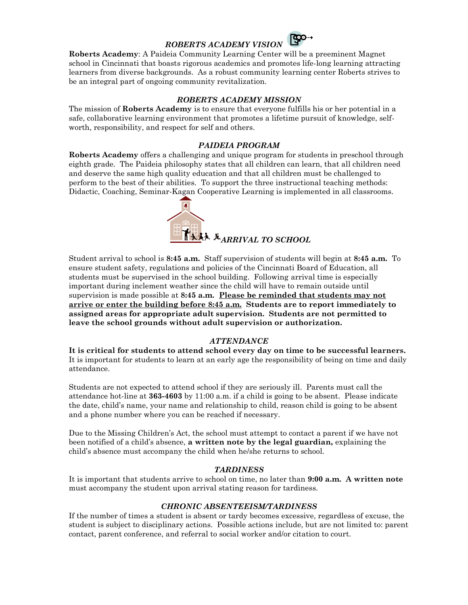# *ROBERTS ACADEMY VISION*



**Roberts Academy**: A Paideia Community Learning Center will be a preeminent Magnet school in Cincinnati that boasts rigorous academics and promotes life-long learning attracting learners from diverse backgrounds. As a robust community learning center Roberts strives to be an integral part of ongoing community revitalization.

#### *ROBERTS ACADEMY MISSION*

The mission of **Roberts Academy** is to ensure that everyone fulfills his or her potential in a safe, collaborative learning environment that promotes a lifetime pursuit of knowledge, selfworth, responsibility, and respect for self and others.

#### *PAIDEIA PROGRAM*

**Roberts Academy** offers a challenging and unique program for students in preschool through eighth grade. The Paideia philosophy states that all children can learn, that all children need and deserve the same high quality education and that all children must be challenged to perform to the best of their abilities. To support the three instructional teaching methods: Didactic, Coaching, Seminar-Kagan Cooperative Learning is implemented in all classrooms.



Student arrival to school is **8:45 a.m.** Staff supervision of students will begin at **8:45 a.m.** To ensure student safety, regulations and policies of the Cincinnati Board of Education, all students must be supervised in the school building. Following arrival time is especially important during inclement weather since the child will have to remain outside until supervision is made possible at **8:45 a.m. Please be reminded that students may not arrive or enter the building before 8:45 a.m. Students are to report immediately to assigned areas for appropriate adult supervision. Students are not permitted to leave the school grounds without adult supervision or authorization.** 

#### *ATTENDANCE*

**It is critical for students to attend school every day on time to be successful learners.** It is important for students to learn at an early age the responsibility of being on time and daily attendance.

Students are not expected to attend school if they are seriously ill. Parents must call the attendance hot-line at **363-4603** by 11:00 a.m. if a child is going to be absent. Please indicate the date, child's name, your name and relationship to child, reason child is going to be absent and a phone number where you can be reached if necessary.

Due to the Missing Children's Act, the school must attempt to contact a parent if we have not been notified of a child's absence, **a written note by the legal guardian,** explaining the child's absence must accompany the child when he/she returns to school.

#### *TARDINESS*

It is important that students arrive to school on time, no later than **9:00 a.m. A written note** must accompany the student upon arrival stating reason for tardiness.

#### *CHRONIC ABSENTEEISM/TARDINESS*

If the number of times a student is absent or tardy becomes excessive, regardless of excuse, the student is subject to disciplinary actions. Possible actions include, but are not limited to: parent contact, parent conference, and referral to social worker and/or citation to court.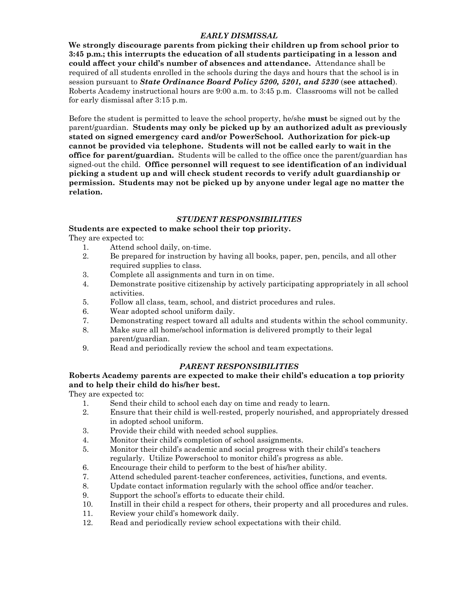# *EARLY DISMISSAL*

**We strongly discourage parents from picking their children up from school prior to 3:45 p.m.; this interrupts the education of all students participating in a lesson and could affect your child's number of absences and attendance.** Attendance shall be required of all students enrolled in the schools during the days and hours that the school is in session pursuant to *State Ordinance Board Policy 5200, 5201, and 5230* (**see attached**). Roberts Academy instructional hours are 9:00 a.m. to 3:45 p.m. Classrooms will not be called for early dismissal after 3:15 p.m.

Before the student is permitted to leave the school property, he/she **must** be signed out by the parent/guardian. **Students may only be picked up by an authorized adult as previously stated on signed emergency card and/or PowerSchool. Authorization for pick-up cannot be provided via telephone. Students will not be called early to wait in the office for parent/guardian.** Students will be called to the office once the parent/guardian has signed-out the child. **Office personnel will request to see identification of an individual picking a student up and will check student records to verify adult guardianship or permission. Students may not be picked up by anyone under legal age no matter the relation.**

#### *STUDENT RESPONSIBILITIES*

#### **Students are expected to make school their top priority.**

They are expected to:

- 1. Attend school daily, on-time.
- 2. Be prepared for instruction by having all books, paper, pen, pencils, and all other required supplies to class.
- 3. Complete all assignments and turn in on time.
- 4. Demonstrate positive citizenship by actively participating appropriately in all school activities.
- 5. Follow all class, team, school, and district procedures and rules.
- 6. Wear adopted school uniform daily.
- 7. Demonstrating respect toward all adults and students within the school community.
- 8. Make sure all home/school information is delivered promptly to their legal parent/guardian.
- 9. Read and periodically review the school and team expectations.

#### *PARENT RESPONSIBILITIES*

# **Roberts Academy parents are expected to make their child's education a top priority and to help their child do his/her best.**

They are expected to:

- 1. Send their child to school each day on time and ready to learn.
- 2. Ensure that their child is well-rested, properly nourished, and appropriately dressed in adopted school uniform.
- 3. Provide their child with needed school supplies.
- 4. Monitor their child's completion of school assignments.
- 5. Monitor their child's academic and social progress with their child's teachers regularly. Utilize Powerschool to monitor child's progress as able.
- 6. Encourage their child to perform to the best of his/her ability.
- 7. Attend scheduled parent-teacher conferences, activities, functions, and events.
- 8. Update contact information regularly with the school office and/or teacher.
- 9. Support the school's efforts to educate their child.
- 10. Instill in their child a respect for others, their property and all procedures and rules.
- 11. Review your child's homework daily.
- 12. Read and periodically review school expectations with their child.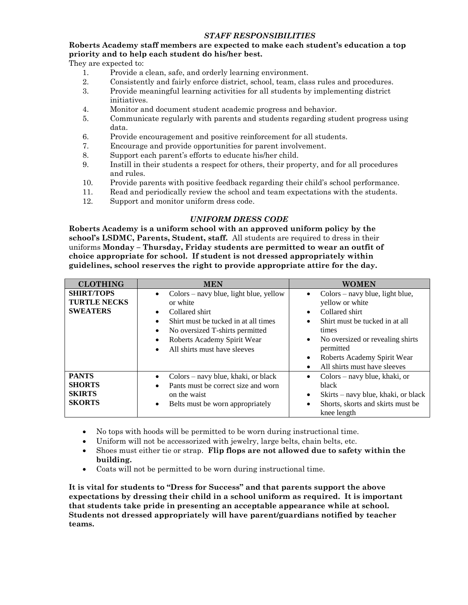# *STAFF RESPONSIBILITIES*

# **Roberts Academy staff members are expected to make each student's education a top priority and to help each student do his/her best.**

They are expected to:

- 1. Provide a clean, safe, and orderly learning environment.
- 2. Consistently and fairly enforce district, school, team, class rules and procedures.
- 3. Provide meaningful learning activities for all students by implementing district initiatives.
- 4. Monitor and document student academic progress and behavior.
- 5. Communicate regularly with parents and students regarding student progress using data.
- 6. Provide encouragement and positive reinforcement for all students.
- 7. Encourage and provide opportunities for parent involvement.
- 8. Support each parent's efforts to educate his/her child.
- 9. Instill in their students a respect for others, their property, and for all procedures and rules.
- 10. Provide parents with positive feedback regarding their child's school performance.
- 11. Read and periodically review the school and team expectations with the students.
- 12. Support and monitor uniform dress code.

# *UNIFORM DRESS CODE*

**Roberts Academy is a uniform school with an approved uniform policy by the school's LSDMC, Parents, Student, staff.** All students are required to dress in their uniforms **Monday – Thursday, Friday students are permitted to wear an outfit of choice appropriate for school. If student is not dressed appropriately within guidelines, school reserves the right to provide appropriate attire for the day.**

| <b>CLOTHING</b>                                                 | <b>MEN</b>                                                                                                                                                                                                                                            | <b>WOMEN</b>                                                                                                                                                                                                                                                                  |
|-----------------------------------------------------------------|-------------------------------------------------------------------------------------------------------------------------------------------------------------------------------------------------------------------------------------------------------|-------------------------------------------------------------------------------------------------------------------------------------------------------------------------------------------------------------------------------------------------------------------------------|
| <b>SHIRT/TOPS</b><br><b>TURTLE NECKS</b><br><b>SWEATERS</b>     | Colors – navy blue, light blue, yellow<br>$\bullet$<br>or white<br>Collared shirt<br>$\bullet$<br>Shirt must be tucked in at all times<br>No oversized T-shirts permitted<br>Roberts Academy Spirit Wear<br>All shirts must have sleeves<br>$\bullet$ | $Colors - navy blue, light blue,$<br>٠<br>yellow or white<br>Collared shirt<br>$\bullet$<br>Shirt must be tucked in at all<br>times<br>No oversized or revealing shirts<br>$\bullet$<br>permitted<br>Roberts Academy Spirit Wear<br>$\bullet$<br>All shirts must have sleeves |
| <b>PANTS</b><br><b>SHORTS</b><br><b>SKIRTS</b><br><b>SKORTS</b> | Colors – navy blue, khaki, or black<br>Pants must be correct size and worn<br>on the waist<br>Belts must be worn appropriately<br>$\bullet$                                                                                                           | Colors – navy blue, khaki, or<br>$\bullet$<br>black<br>Skirts – navy blue, khaki, or black<br>$\bullet$<br>Shorts, skorts and skirts must be<br>$\bullet$<br>knee length                                                                                                      |

- No tops with hoods will be permitted to be worn during instructional time.
- Uniform will not be accessorized with jewelry, large belts, chain belts, etc.
- Shoes must either tie or strap. **Flip flops are not allowed due to safety within the building.**
- Coats will not be permitted to be worn during instructional time.

**It is vital for students to "Dress for Success" and that parents support the above expectations by dressing their child in a school uniform as required. It is important that students take pride in presenting an acceptable appearance while at school. Students not dressed appropriately will have parent/guardians notified by teacher teams.**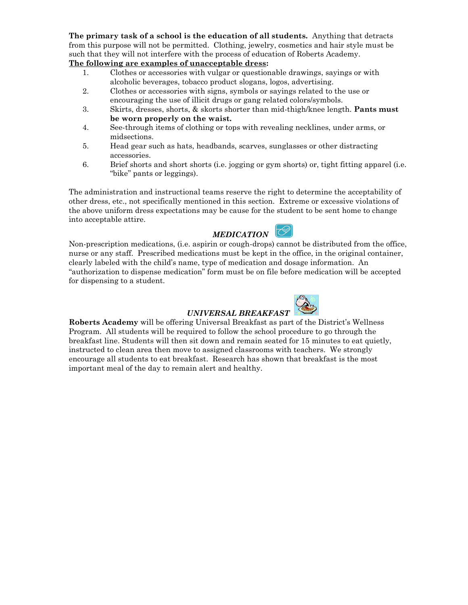**The primary task of a school is the education of all students.** Anything that detracts from this purpose will not be permitted. Clothing, jewelry, cosmetics and hair style must be such that they will not interfere with the process of education of Roberts Academy. **The following are examples of unacceptable dress:**

- 1. Clothes or accessories with vulgar or questionable drawings, sayings or with alcoholic beverages, tobacco product slogans, logos, advertising.
- 2. Clothes or accessories with signs, symbols or sayings related to the use or encouraging the use of illicit drugs or gang related colors/symbols.
- 3. Skirts, dresses, shorts, & skorts shorter than mid-thigh/knee length. **Pants must be worn properly on the waist.**
- 4. See-through items of clothing or tops with revealing necklines, under arms, or midsections.
- 5. Head gear such as hats, headbands, scarves, sunglasses or other distracting accessories.
- 6. Brief shorts and short shorts (i.e. jogging or gym shorts) or, tight fitting apparel (i.e. "bike" pants or leggings).

The administration and instructional teams reserve the right to determine the acceptability of other dress, etc., not specifically mentioned in this section. Extreme or excessive violations of the above uniform dress expectations may be cause for the student to be sent home to change into acceptable attire.

# *MEDICATION*

Non-prescription medications, (i.e. aspirin or cough-drops) cannot be distributed from the office, nurse or any staff. Prescribed medications must be kept in the office, in the original container, clearly labeled with the child's name, type of medication and dosage information. An "authorization to dispense medication" form must be on file before medication will be accepted for dispensing to a student.



# *UNIVERSAL BREAKFAST*

**Roberts Academy** will be offering Universal Breakfast as part of the District's Wellness Program. All students will be required to follow the school procedure to go through the breakfast line. Students will then sit down and remain seated for 15 minutes to eat quietly, instructed to clean area then move to assigned classrooms with teachers. We strongly encourage all students to eat breakfast. Research has shown that breakfast is the most important meal of the day to remain alert and healthy.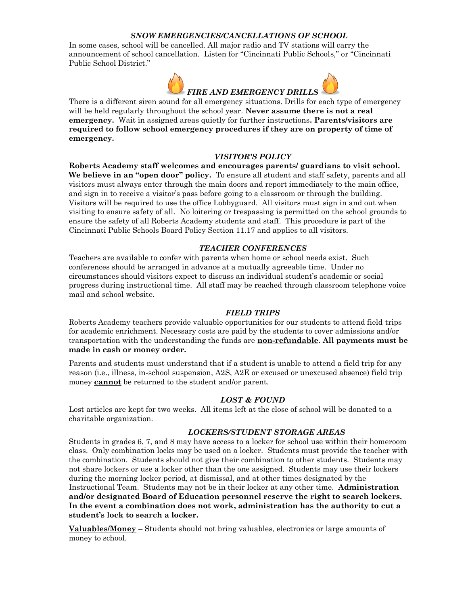# *SNOW EMERGENCIES/CANCELLATIONS OF SCHOOL*

In some cases, school will be cancelled. All major radio and TV stations will carry the announcement of school cancellation. Listen for "Cincinnati Public Schools," or "Cincinnati Public School District."





There is a different siren sound for all emergency situations. Drills for each type of emergency will be held regularly throughout the school year. **Never assume there is not a real emergency.** Wait in assigned areas quietly for further instructions**. Parents/visitors are required to follow school emergency procedures if they are on property of time of emergency.**

#### *VISITOR'S POLICY*

**Roberts Academy staff welcomes and encourages parents/ guardians to visit school. We believe in an "open door" policy.** To ensure all student and staff safety, parents and all visitors must always enter through the main doors and report immediately to the main office, and sign in to receive a visitor's pass before going to a classroom or through the building. Visitors will be required to use the office Lobbyguard. All visitors must sign in and out when visiting to ensure safety of all.No loitering or trespassing is permitted on the school grounds to ensure the safety of all Roberts Academy students and staff. This procedure is part of the Cincinnati Public Schools Board Policy Section 11.17 and applies to all visitors.

# *TEACHER CONFERENCES*

Teachers are available to confer with parents when home or school needs exist. Such conferences should be arranged in advance at a mutually agreeable time. Under no circumstances should visitors expect to discuss an individual student's academic or social progress during instructional time. All staff may be reached through classroom telephone voice mail and school website.

# *FIELD TRIPS*

Roberts Academy teachers provide valuable opportunities for our students to attend field trips for academic enrichment. Necessary costs are paid by the students to cover admissions and/or transportation with the understanding the funds are **non-refundable**. **All payments must be made in cash or money order.**

Parents and students must understand that if a student is unable to attend a field trip for any reason (i.e., illness, in-school suspension, A2S, A2E or excused or unexcused absence) field trip money **cannot** be returned to the student and/or parent.

#### *LOST & FOUND*

Lost articles are kept for two weeks. All items left at the close of school will be donated to a charitable organization.

#### *LOCKERS/STUDENT STORAGE AREAS*

Students in grades 6, 7, and 8 may have access to a locker for school use within their homeroom class. Only combination locks may be used on a locker. Students must provide the teacher with the combination. Students should not give their combination to other students. Students may not share lockers or use a locker other than the one assigned. Students may use their lockers during the morning locker period, at dismissal, and at other times designated by the Instructional Team. Students may not be in their locker at any other time. **Administration and/or designated Board of Education personnel reserve the right to search lockers. In the event a combination does not work, administration has the authority to cut a student's lock to search a locker.**

**Valuables/Money** – Students should not bring valuables, electronics or large amounts of money to school.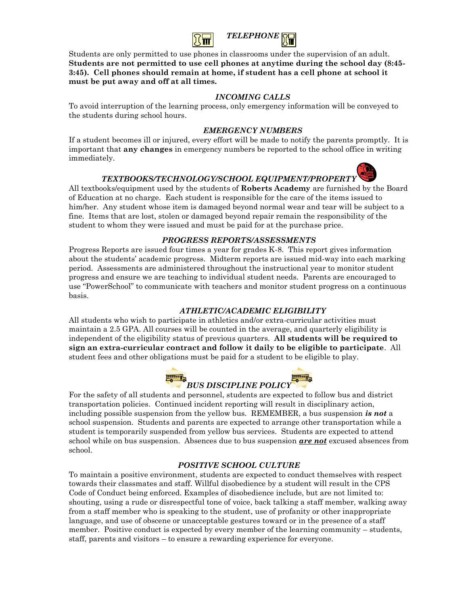



Students are only permitted to use phones in classrooms under the supervision of an adult. **Students are not permitted to use cell phones at anytime during the school day (8:45- 3:45). Cell phones should remain at home, if student has a cell phone at school it must be put away and off at all times.**

# *INCOMING CALLS*

To avoid interruption of the learning process, only emergency information will be conveyed to the students during school hours.

#### *EMERGENCY NUMBERS*

If a student becomes ill or injured, every effort will be made to notify the parents promptly. It is important that **any changes** in emergency numbers be reported to the school office in writing immediately.

# *TEXTBOOKS/TECHNOLOGY/SCHOOL EQUIPMENT/PROPERTY*

All textbooks/equipment used by the students of **Roberts Academy** are furnished by the Board of Education at no charge. Each student is responsible for the care of the items issued to him/her. Any student whose item is damaged beyond normal wear and tear will be subject to a fine. Items that are lost, stolen or damaged beyond repair remain the responsibility of the student to whom they were issued and must be paid for at the purchase price.

#### *PROGRESS REPORTS/ASSESSMENTS*

Progress Reports are issued four times a year for grades K-8. This report gives information about the students' academic progress. Midterm reports are issued mid-way into each marking period. Assessments are administered throughout the instructional year to monitor student progress and ensure we are teaching to individual student needs. Parents are encouraged to use "PowerSchool" to communicate with teachers and monitor student progress on a continuous basis.

# *ATHLETIC/ACADEMIC ELIGIBILITY*

All students who wish to participate in athletics and/or extra-curricular activities must maintain a 2.5 GPA. All courses will be counted in the average, and quarterly eligibility is independent of the eligibility status of previous quarters. **All students will be required to sign an extra-curricular contract and follow it daily to be eligible to participate**. All student fees and other obligations must be paid for a student to be eligible to play.





# *BUS DISCIPLINE POLICY*

For the safety of all students and personnel, students are expected to follow bus and district transportation policies. Continued incident reporting will result in disciplinary action, including possible suspension from the yellow bus. REMEMBER, a bus suspension *is not* a school suspension. Students and parents are expected to arrange other transportation while a student is temporarily suspended from yellow bus services. Students are expected to attend school while on bus suspension. Absences due to bus suspension *are not* excused absences from school.

# *POSITIVE SCHOOL CULTURE*

To maintain a positive environment, students are expected to conduct themselves with respect towards their classmates and staff. Willful disobedience by a student will result in the CPS Code of Conduct being enforced. Examples of disobedience include, but are not limited to: shouting, using a rude or disrespectful tone of voice, back talking a staff member, walking away from a staff member who is speaking to the student, use of profanity or other inappropriate language, and use of obscene or unacceptable gestures toward or in the presence of a staff member. Positive conduct is expected by every member of the learning community – students, staff, parents and visitors – to ensure a rewarding experience for everyone.

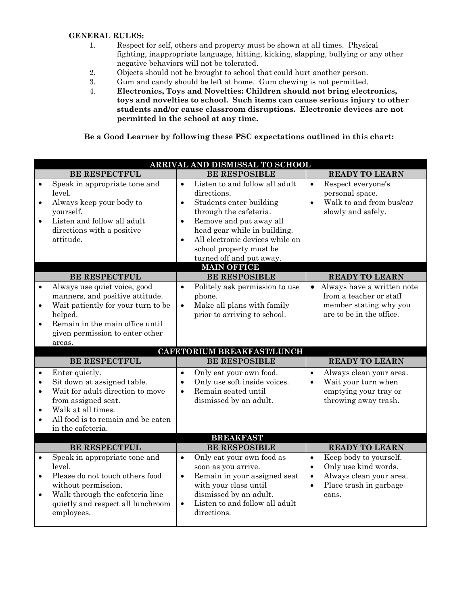# **GENERAL RULES:**

- 1. Respect for self, others and property must be shown at all times. Physical fighting, inappropriate language, hitting, kicking, slapping, bullying or any other negative behaviors will not be tolerated.
- 2. Objects should not be brought to school that could hurt another person.
- 3. Gum and candy should be left at home. Gum chewing is not permitted.
- 4. **Electronics, Toys and Novelties: Children should not bring electronics, toys and novelties to school. Such items can cause serious injury to other students and/or cause classroom disruptions. Electronic devices are not permitted in the school at any time.**

**Be a Good Learner by following these PSC expectations outlined in this chart:**

| ARRIVAL AND DISMISSAL TO SCHOOL                               |                                                                                                                                                                                                  |                                                                                                                                                                                                                                                                                                             |                                                                                                                                                                  |  |  |  |
|---------------------------------------------------------------|--------------------------------------------------------------------------------------------------------------------------------------------------------------------------------------------------|-------------------------------------------------------------------------------------------------------------------------------------------------------------------------------------------------------------------------------------------------------------------------------------------------------------|------------------------------------------------------------------------------------------------------------------------------------------------------------------|--|--|--|
|                                                               | <b>BE RESPECTFUL</b>                                                                                                                                                                             | <b>BE RESPOSIBLE</b>                                                                                                                                                                                                                                                                                        | <b>READY TO LEARN</b>                                                                                                                                            |  |  |  |
| $\bullet$<br>$\bullet$                                        | Speak in appropriate tone and<br>level.<br>Always keep your body to<br>yourself.<br>Listen and follow all adult<br>directions with a positive<br>attitude.                                       | Listen to and follow all adult<br>$\bullet$<br>directions.<br>Students enter building<br>$\bullet$<br>through the cafeteria.<br>Remove and put away all<br>$\bullet$<br>head gear while in building.<br>All electronic devices while on<br>$\bullet$<br>school property must be<br>turned off and put away. | Respect everyone's<br>$\bullet$<br>personal space.<br>Walk to and from bus/car<br>$\bullet$<br>slowly and safely.                                                |  |  |  |
|                                                               |                                                                                                                                                                                                  | <b>MAIN OFFICE</b>                                                                                                                                                                                                                                                                                          |                                                                                                                                                                  |  |  |  |
|                                                               | <b>BE RESPECTFUL</b>                                                                                                                                                                             | <b>BE RESPOSIBLE</b>                                                                                                                                                                                                                                                                                        | <b>READY TO LEARN</b>                                                                                                                                            |  |  |  |
| $\bullet$<br>$\bullet$<br>$\bullet$                           | Always use quiet voice, good<br>manners, and positive attitude.<br>Wait patiently for your turn to be<br>helped.<br>Remain in the main office until<br>given permission to enter other<br>areas. | Politely ask permission to use<br>$\bullet$<br>phone.<br>Make all plans with family<br>$\bullet$<br>prior to arriving to school.                                                                                                                                                                            | • Always have a written note<br>from a teacher or staff<br>member stating why you<br>are to be in the office.                                                    |  |  |  |
|                                                               |                                                                                                                                                                                                  | CAFETORIUM BREAKFAST/LUNCH                                                                                                                                                                                                                                                                                  |                                                                                                                                                                  |  |  |  |
|                                                               | <b>BE RESPECTFUL</b>                                                                                                                                                                             | <b>BE RESPOSIBLE</b>                                                                                                                                                                                                                                                                                        | <b>READY TO LEARN</b>                                                                                                                                            |  |  |  |
| $\bullet$<br>$\bullet$<br>$\bullet$<br>$\bullet$<br>$\bullet$ | Enter quietly.<br>Sit down at assigned table.<br>Wait for adult direction to move<br>from assigned seat.<br>Walk at all times.<br>All food is to remain and be eaten<br>in the cafeteria.        | Only eat your own food.<br>$\bullet$<br>Only use soft inside voices.<br>$\bullet$<br>Remain seated until<br>$\bullet$<br>dismissed by an adult.                                                                                                                                                             | Always clean your area.<br>$\bullet$<br>Wait your turn when<br>$\bullet$<br>emptying your tray or<br>throwing away trash.                                        |  |  |  |
|                                                               |                                                                                                                                                                                                  | <b>BREAKFAST</b>                                                                                                                                                                                                                                                                                            |                                                                                                                                                                  |  |  |  |
|                                                               | <b>BE RESPECTFUL</b>                                                                                                                                                                             | <b>BE RESPOSIBLE</b>                                                                                                                                                                                                                                                                                        | <b>READY TO LEARN</b>                                                                                                                                            |  |  |  |
| $\bullet$<br>$\bullet$<br>$\bullet$                           | Speak in appropriate tone and<br>level.<br>Please do not touch others food<br>without permission.<br>Walk through the cafeteria line<br>quietly and respect all lunchroom<br>employees.          | Only eat your own food as<br>$\bullet$<br>soon as you arrive.<br>Remain in your assigned seat<br>$\bullet$<br>with your class until<br>dismissed by an adult.<br>Listen to and follow all adult<br>$\bullet$<br>directions.                                                                                 | Keep body to yourself.<br>$\bullet$<br>Only use kind words.<br>$\bullet$<br>Always clean your area.<br>$\bullet$<br>Place trash in garbage<br>$\bullet$<br>cans. |  |  |  |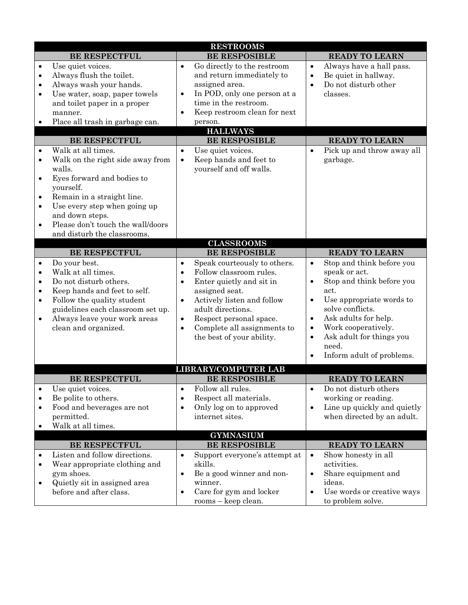| <b>RESTROOMS</b>                                                                                                                            |                                                                                                                                                                                                                                                                                                                                                                                                                                               |                                                                                                                                                                                                                                                                                                                                                                      |                                                                                                                                                                                                                                                                                                                                             |  |  |  |
|---------------------------------------------------------------------------------------------------------------------------------------------|-----------------------------------------------------------------------------------------------------------------------------------------------------------------------------------------------------------------------------------------------------------------------------------------------------------------------------------------------------------------------------------------------------------------------------------------------|----------------------------------------------------------------------------------------------------------------------------------------------------------------------------------------------------------------------------------------------------------------------------------------------------------------------------------------------------------------------|---------------------------------------------------------------------------------------------------------------------------------------------------------------------------------------------------------------------------------------------------------------------------------------------------------------------------------------------|--|--|--|
| <b>BE RESPECTFUL</b>                                                                                                                        |                                                                                                                                                                                                                                                                                                                                                                                                                                               | <b>BE RESPOSIBLE</b>                                                                                                                                                                                                                                                                                                                                                 | <b>READY TO LEARN</b>                                                                                                                                                                                                                                                                                                                       |  |  |  |
| $\bullet$<br>$\bullet$<br>$\bullet$<br>$\bullet$<br>$\bullet$<br>$\bullet$<br>$\bullet$<br>$\bullet$<br>$\bullet$<br>$\bullet$<br>$\bullet$ | Use quiet voices.<br>Always flush the toilet.<br>Always wash your hands.<br>Use water, soap, paper towels<br>and toilet paper in a proper<br>manner.<br>Place all trash in garbage can.<br>BE RESPECTFUL<br>Walk at all times.<br>Walk on the right side away from<br>walls.<br>Eyes forward and bodies to<br>yourself.<br>Remain in a straight line.<br>Use every step when going up<br>and down steps.<br>Please don't touch the wall/doors | Go directly to the restroom<br>$\bullet$<br>and return immediately to<br>assigned area.<br>In POD, only one person at a<br>$\bullet$<br>time in the restroom.<br>Keep restroom clean for next<br>$\bullet$<br>person.<br><b>HALLWAYS</b><br><b>BE RESPOSIBLE</b><br>Use quiet voices.<br>$\bullet$<br>Keep hands and feet to<br>$\bullet$<br>yourself and off walls. | Always have a hall pass.<br>$\bullet$<br>Be quiet in hallway.<br>$\bullet$<br>Do not disturb other<br>$\bullet$<br>classes.<br><b>READY TO LEARN</b><br>Pick up and throw away all<br>$\bullet$<br>garbage.                                                                                                                                 |  |  |  |
|                                                                                                                                             | and disturb the classrooms.                                                                                                                                                                                                                                                                                                                                                                                                                   |                                                                                                                                                                                                                                                                                                                                                                      |                                                                                                                                                                                                                                                                                                                                             |  |  |  |
|                                                                                                                                             | <b>BE RESPECTFUL</b>                                                                                                                                                                                                                                                                                                                                                                                                                          | <b>CLASSROOMS</b><br><b>BE RESPOSIBLE</b>                                                                                                                                                                                                                                                                                                                            | <b>READY TO LEARN</b>                                                                                                                                                                                                                                                                                                                       |  |  |  |
| $\bullet$<br>$\bullet$<br>$\bullet$<br>$\bullet$<br>$\bullet$<br>$\bullet$                                                                  | Do your best.<br>Walk at all times.<br>Do not disturb others.<br>Keep hands and feet to self.<br>Follow the quality student<br>guidelines each classroom set up.<br>Always leave your work areas<br>clean and organized.                                                                                                                                                                                                                      | Speak courteously to others.<br>$\bullet$<br>Follow classroom rules.<br>$\bullet$<br>Enter quietly and sit in<br>$\bullet$<br>assigned seat.<br>Actively listen and follow<br>$\bullet$<br>adult directions.<br>Respect personal space.<br>$\bullet$<br>Complete all assignments to<br>$\bullet$<br>the best of your ability.                                        | Stop and think before you<br>$\bullet$<br>speak or act.<br>Stop and think before you<br>$\bullet$<br>act.<br>Use appropriate words to<br>$\bullet$<br>solve conflicts.<br>Ask adults for help.<br>$\bullet$<br>Work cooperatively.<br>$\bullet$<br>Ask adult for things you<br>$\bullet$<br>need.<br>Inform adult of problems.<br>$\bullet$ |  |  |  |
|                                                                                                                                             |                                                                                                                                                                                                                                                                                                                                                                                                                                               | <b>LIBRARY/COMPUTER LAB</b>                                                                                                                                                                                                                                                                                                                                          |                                                                                                                                                                                                                                                                                                                                             |  |  |  |
| $\bullet$<br>$\bullet$<br>$\bullet$                                                                                                         | <b>BE RESPECTFUL</b><br>Use quiet voices.<br>Be polite to others.<br>Food and beverages are not<br>permitted.<br>Walk at all times.                                                                                                                                                                                                                                                                                                           | <b>BE RESPOSIBLE</b><br>Follow all rules.<br>$\bullet$<br>Respect all materials.<br>$\bullet$<br>Only log on to approved<br>$\bullet$<br>internet sites.<br><b>GYMNASIUM</b>                                                                                                                                                                                         | <b>READY TO LEARN</b><br>Do not disturb others<br>$\bullet$<br>working or reading.<br>Line up quickly and quietly<br>$\bullet$<br>when directed by an adult.                                                                                                                                                                                |  |  |  |
|                                                                                                                                             | <b>BE RESPECTFUL</b>                                                                                                                                                                                                                                                                                                                                                                                                                          | <b>BE RESPOSIBLE</b>                                                                                                                                                                                                                                                                                                                                                 | <b>READY TO LEARN</b>                                                                                                                                                                                                                                                                                                                       |  |  |  |
| $\bullet$<br>$\bullet$                                                                                                                      | Listen and follow directions.<br>Wear appropriate clothing and<br>gym shoes.<br>Quietly sit in assigned area<br>before and after class.                                                                                                                                                                                                                                                                                                       | Support everyone's attempt at<br>$\bullet$<br>skills.<br>Be a good winner and non-<br>$\bullet$<br>winner.<br>Care for gym and locker<br>$\bullet$<br>rooms - keep clean.                                                                                                                                                                                            | Show honesty in all<br>$\bullet$<br>activities.<br>Share equipment and<br>$\bullet$<br>ideas.<br>Use words or creative ways<br>$\bullet$<br>to problem solve.                                                                                                                                                                               |  |  |  |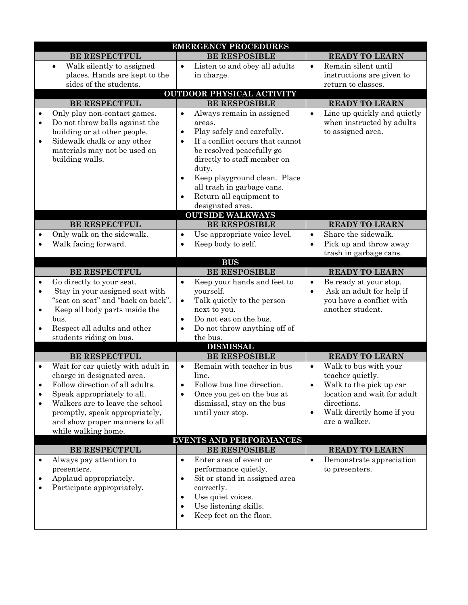| <b>EMERGENCY PROCEDURES</b>                                                                                                                                                                                                                                                              |                                                                                                                                                                                                                                                                                              |                                                                                                                                                                                                                     |  |  |  |  |  |
|------------------------------------------------------------------------------------------------------------------------------------------------------------------------------------------------------------------------------------------------------------------------------------------|----------------------------------------------------------------------------------------------------------------------------------------------------------------------------------------------------------------------------------------------------------------------------------------------|---------------------------------------------------------------------------------------------------------------------------------------------------------------------------------------------------------------------|--|--|--|--|--|
| <b>BE RESPECTFUL</b>                                                                                                                                                                                                                                                                     | <b>BE RESPOSIBLE</b>                                                                                                                                                                                                                                                                         | <b>READY TO LEARN</b>                                                                                                                                                                                               |  |  |  |  |  |
| Walk silently to assigned<br>$\bullet$                                                                                                                                                                                                                                                   | Listen to and obey all adults<br>$\bullet$                                                                                                                                                                                                                                                   | Remain silent until<br>$\bullet$                                                                                                                                                                                    |  |  |  |  |  |
| places. Hands are kept to the                                                                                                                                                                                                                                                            | in charge.                                                                                                                                                                                                                                                                                   | instructions are given to                                                                                                                                                                                           |  |  |  |  |  |
| sides of the students.                                                                                                                                                                                                                                                                   |                                                                                                                                                                                                                                                                                              | return to classes.                                                                                                                                                                                                  |  |  |  |  |  |
|                                                                                                                                                                                                                                                                                          | <b>OUTDOOR PHYSICAL ACTIVITY</b>                                                                                                                                                                                                                                                             |                                                                                                                                                                                                                     |  |  |  |  |  |
| <b>BE RESPECTFUL</b>                                                                                                                                                                                                                                                                     | <b>BE RESPOSIBLE</b>                                                                                                                                                                                                                                                                         | <b>READY TO LEARN</b>                                                                                                                                                                                               |  |  |  |  |  |
| Only play non-contact games.<br>Do not throw balls against the<br>$\bullet$<br>building or at other people.<br>Sidewalk chalk or any other<br>$\bullet$<br>materials may not be used on<br>building walls.                                                                               | Always remain in assigned<br>$\bullet$<br>areas.<br>Play safely and carefully.<br>$\bullet$<br>If a conflict occurs that cannot<br>$\bullet$<br>be resolved peacefully go<br>directly to staff member on<br>duty.<br>Keep playground clean. Place<br>$\bullet$<br>all trash in garbage cans. | Line up quickly and quietly<br>$\bullet$<br>when instructed by adults<br>to assigned area.                                                                                                                          |  |  |  |  |  |
|                                                                                                                                                                                                                                                                                          | Return all equipment to<br>$\bullet$<br>designated area.                                                                                                                                                                                                                                     |                                                                                                                                                                                                                     |  |  |  |  |  |
|                                                                                                                                                                                                                                                                                          | <b>OUTSIDE WALKWAYS</b>                                                                                                                                                                                                                                                                      |                                                                                                                                                                                                                     |  |  |  |  |  |
| <b>BE RESPECTFUL</b>                                                                                                                                                                                                                                                                     | <b>BE RESPOSIBLE</b>                                                                                                                                                                                                                                                                         | <b>READY TO LEARN</b>                                                                                                                                                                                               |  |  |  |  |  |
| Only walk on the sidewalk.                                                                                                                                                                                                                                                               | Use appropriate voice level.<br>$\bullet$                                                                                                                                                                                                                                                    | Share the sidewalk.<br>$\bullet$                                                                                                                                                                                    |  |  |  |  |  |
| Walk facing forward.                                                                                                                                                                                                                                                                     | Keep body to self.<br>$\bullet$                                                                                                                                                                                                                                                              | Pick up and throw away<br>$\bullet$<br>trash in garbage cans.                                                                                                                                                       |  |  |  |  |  |
|                                                                                                                                                                                                                                                                                          | <b>BUS</b>                                                                                                                                                                                                                                                                                   |                                                                                                                                                                                                                     |  |  |  |  |  |
| <b>BE RESPECTFUL</b>                                                                                                                                                                                                                                                                     | <b>BE RESPOSIBLE</b>                                                                                                                                                                                                                                                                         | <b>READY TO LEARN</b>                                                                                                                                                                                               |  |  |  |  |  |
| Go directly to your seat.<br>$\bullet$<br>Stay in your assigned seat with<br>$\bullet$<br>"seat on seat" and "back on back".<br>Keep all body parts inside the<br>$\bullet$<br>bus.<br>Respect all adults and other<br>$\bullet$<br>students riding on bus.                              | Keep your hands and feet to<br>$\bullet$<br>yourself.<br>Talk quietly to the person<br>$\bullet$<br>next to you.<br>Do not eat on the bus.<br>$\bullet$<br>Do not throw anything off of<br>$\bullet$<br>the bus.                                                                             | Be ready at your stop.<br>$\bullet$<br>Ask an adult for help if<br>$\bullet$<br>you have a conflict with<br>another student.                                                                                        |  |  |  |  |  |
|                                                                                                                                                                                                                                                                                          | <b>DISMISSAL</b>                                                                                                                                                                                                                                                                             |                                                                                                                                                                                                                     |  |  |  |  |  |
| <b>BE RESPECTFUL</b><br>Wait for car quietly with adult in<br>charge in designated area.<br>Follow direction of all adults.<br>Speak appropriately to all.<br>Walkers are to leave the school<br>promptly, speak appropriately,<br>and show proper manners to all<br>while walking home. | <b>BE RESPOSIBLE</b><br>Remain with teacher in bus<br>$\bullet$<br>line.<br>Follow bus line direction.<br>Once you get on the bus at<br>$\bullet$<br>dismissal, stay on the bus<br>until your stop.                                                                                          | <b>READY TO LEARN</b><br>Walk to bus with your<br>$\bullet$<br>teacher quietly.<br>Walk to the pick up car<br>location and wait for adult<br>directions.<br>Walk directly home if you<br>$\bullet$<br>are a walker. |  |  |  |  |  |
| <b>EVENTS AND PERFORMANCES</b><br><b>READY TO LEARN</b>                                                                                                                                                                                                                                  |                                                                                                                                                                                                                                                                                              |                                                                                                                                                                                                                     |  |  |  |  |  |
| <b>BE RESPECTFUL</b><br>Always pay attention to<br>presenters.<br>Applaud appropriately.<br>Participate appropriately.                                                                                                                                                                   | <b>BE RESPOSIBLE</b><br>Enter area of event or<br>$\bullet$<br>performance quietly.<br>Sit or stand in assigned area<br>$\bullet$<br>correctly.<br>Use quiet voices.<br>$\bullet$<br>Use listening skills.<br>$\bullet$<br>Keep feet on the floor.<br>$\bullet$                              | Demonstrate appreciation<br>$\bullet$<br>to presenters.                                                                                                                                                             |  |  |  |  |  |